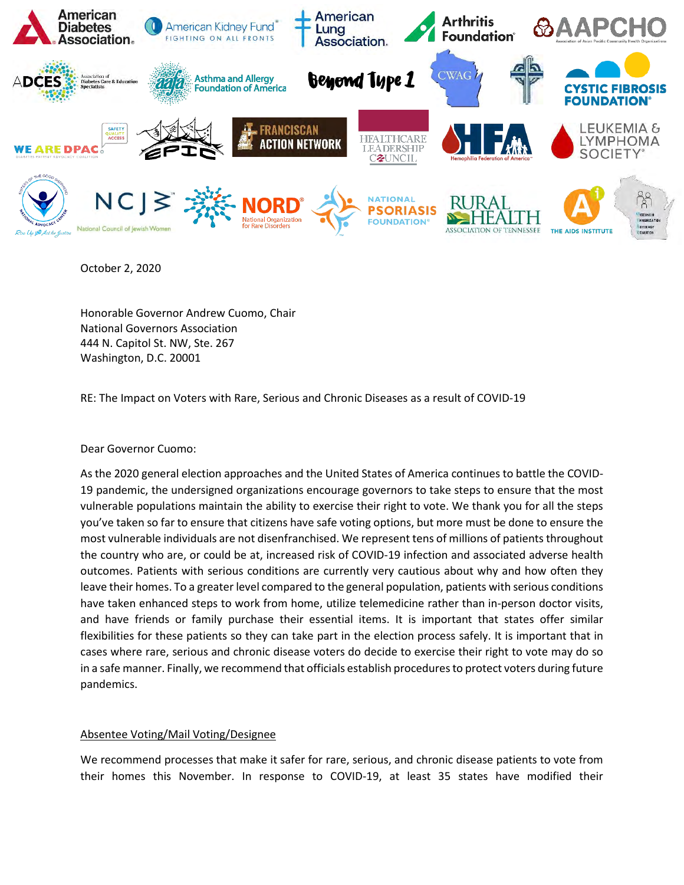

October 2, 2020

Honorable Governor Andrew Cuomo, Chair National Governors Association 444 N. Capitol St. NW, Ste. 267 Washington, D.C. 20001

RE: The Impact on Voters with Rare, Serious and Chronic Diseases as a result of COVID-19

Dear Governor Cuomo:

As the 2020 general election approaches and the United States of America continues to battle the COVID-19 pandemic, the undersigned organizations encourage governors to take steps to ensure that the most vulnerable populations maintain the ability to exercise their right to vote. We thank you for all the steps you've taken so far to ensure that citizens have safe voting options, but more must be done to ensure the most vulnerable individuals are not disenfranchised. We represent tens of millions of patients throughout the country who are, or could be at, increased risk of COVID-19 infection and associated adverse health outcomes. Patients with serious conditions are currently very cautious about why and how often they leave their homes. To a greater level compared to the general population, patients with serious conditions have taken enhanced steps to work from home, utilize telemedicine rather than in-person doctor visits, and have friends or family purchase their essential items. It is important that states offer similar flexibilities for these patients so they can take part in the election process safely. It is important that in cases where rare, serious and chronic disease voters do decide to exercise their right to vote may do so in a safe manner. Finally, we recommend that officials establish procedures to protect voters during future pandemics.

## Absentee Voting/Mail Voting/Designee

We recommend processes that make it safer for rare, serious, and chronic disease patients to vote from their homes this November. In response to COVID-19, at least 35 states have modified their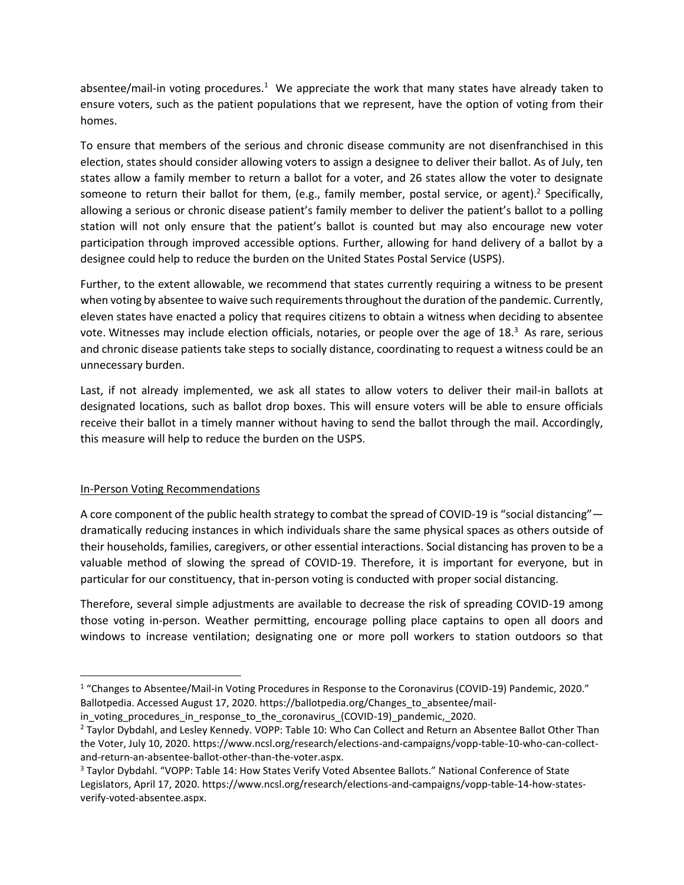absentee/mail-in voting procedures.<sup>1</sup> We appreciate the work that many states have already taken to ensure voters, such as the patient populations that we represent, have the option of voting from their homes.

To ensure that members of the serious and chronic disease community are not disenfranchised in this election, states should consider allowing voters to assign a designee to deliver their ballot. As of July, ten states allow a family member to return a ballot for a voter, and 26 states allow the voter to designate someone to return their ballot for them, (e.g., family member, postal service, or agent).<sup>2</sup> Specifically, allowing a serious or chronic disease patient's family member to deliver the patient's ballot to a polling station will not only ensure that the patient's ballot is counted but may also encourage new voter participation through improved accessible options. Further, allowing for hand delivery of a ballot by a designee could help to reduce the burden on the United States Postal Service (USPS).

Further, to the extent allowable, we recommend that states currently requiring a witness to be present when voting by absentee to waive such requirements throughout the duration of the pandemic. Currently, eleven states have enacted a policy that requires citizens to obtain a witness when deciding to absentee vote. Witnesses may include election officials, notaries, or people over the age of  $18<sup>3</sup>$  As rare, serious and chronic disease patients take steps to socially distance, coordinating to request a witness could be an unnecessary burden.

Last, if not already implemented, we ask all states to allow voters to deliver their mail-in ballots at designated locations, such as ballot drop boxes. This will ensure voters will be able to ensure officials receive their ballot in a timely manner without having to send the ballot through the mail. Accordingly, this measure will help to reduce the burden on the USPS.

## In-Person Voting Recommendations

A core component of the public health strategy to combat the spread of COVID-19 is "social distancing" dramatically reducing instances in which individuals share the same physical spaces as others outside of their households, families, caregivers, or other essential interactions. Social distancing has proven to be a valuable method of slowing the spread of COVID-19. Therefore, it is important for everyone, but in particular for our constituency, that in-person voting is conducted with proper social distancing.

Therefore, several simple adjustments are available to decrease the risk of spreading COVID-19 among those voting in-person. Weather permitting, encourage polling place captains to open all doors and windows to increase ventilation; designating one or more poll workers to station outdoors so that

<sup>&</sup>lt;sup>1</sup> "Changes to Absentee/Mail-in Voting Procedures in Response to the Coronavirus (COVID-19) Pandemic, 2020." Ballotpedia. Accessed August 17, 2020. https://ballotpedia.org/Changes\_to\_absentee/mail-

in voting procedures in response to the coronavirus (COVID-19) pandemic, 2020.

<sup>2</sup> Taylor Dybdahl, and Lesley Kennedy. VOPP: Table 10: Who Can Collect and Return an Absentee Ballot Other Than the Voter, July 10, 2020. https://www.ncsl.org/research/elections-and-campaigns/vopp-table-10-who-can-collectand-return-an-absentee-ballot-other-than-the-voter.aspx.

<sup>3</sup> Taylor Dybdahl. "VOPP: Table 14: How States Verify Voted Absentee Ballots." National Conference of State Legislators, April 17, 2020. https://www.ncsl.org/research/elections-and-campaigns/vopp-table-14-how-statesverify-voted-absentee.aspx.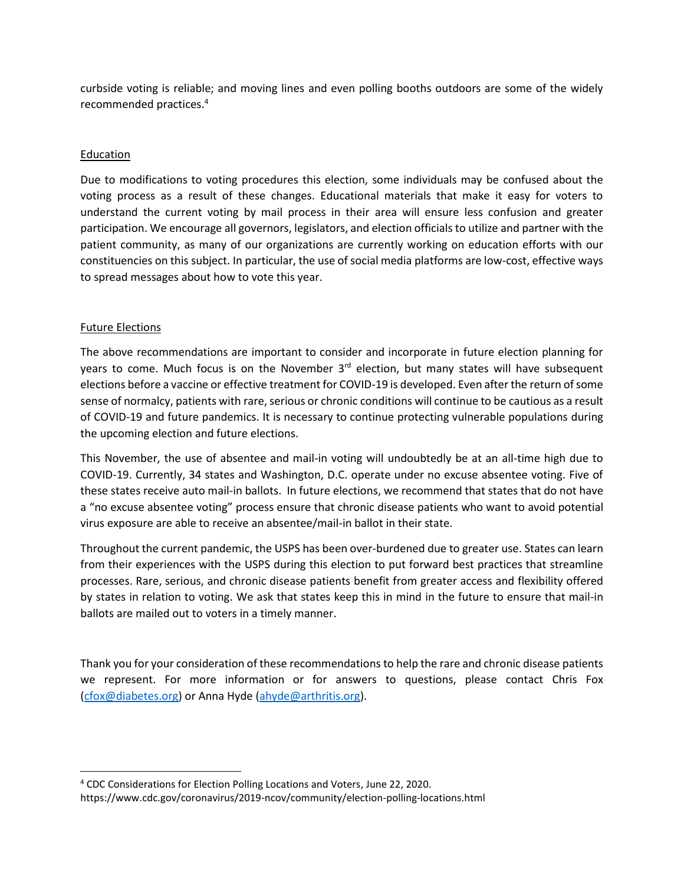curbside voting is reliable; and moving lines and even polling booths outdoors are some of the widely recommended practices.<sup>4</sup>

## Education

Due to modifications to voting procedures this election, some individuals may be confused about the voting process as a result of these changes. Educational materials that make it easy for voters to understand the current voting by mail process in their area will ensure less confusion and greater participation. We encourage all governors, legislators, and election officials to utilize and partner with the patient community, as many of our organizations are currently working on education efforts with our constituencies on this subject. In particular, the use of social media platforms are low-cost, effective ways to spread messages about how to vote this year.

## Future Elections

The above recommendations are important to consider and incorporate in future election planning for years to come. Much focus is on the November 3<sup>rd</sup> election, but many states will have subsequent elections before a vaccine or effective treatment for COVID-19 is developed. Even after the return of some sense of normalcy, patients with rare, serious or chronic conditions will continue to be cautious as a result of COVID-19 and future pandemics. It is necessary to continue protecting vulnerable populations during the upcoming election and future elections.

This November, the use of absentee and mail-in voting will undoubtedly be at an all-time high due to COVID-19. Currently, 34 states and Washington, D.C. operate under no excuse absentee voting. Five of these states receive auto mail-in ballots. In future elections, we recommend that states that do not have a "no excuse absentee voting" process ensure that chronic disease patients who want to avoid potential virus exposure are able to receive an absentee/mail-in ballot in their state.

Throughout the current pandemic, the USPS has been over-burdened due to greater use. States can learn from their experiences with the USPS during this election to put forward best practices that streamline processes. Rare, serious, and chronic disease patients benefit from greater access and flexibility offered by states in relation to voting. We ask that states keep this in mind in the future to ensure that mail-in ballots are mailed out to voters in a timely manner.

Thank you for your consideration of these recommendations to help the rare and chronic disease patients we represent. For more information or for answers to questions, please contact Chris Fox [\(cfox@diabetes.org\)](mailto:cfox@diabetes.org) or Anna Hyde [\(ahyde@arthritis.org\)](mailto:ahyde@arthritis.org).

<sup>4</sup> CDC Considerations for Election Polling Locations and Voters, June 22, 2020.

https://www.cdc.gov/coronavirus/2019-ncov/community/election-polling-locations.html